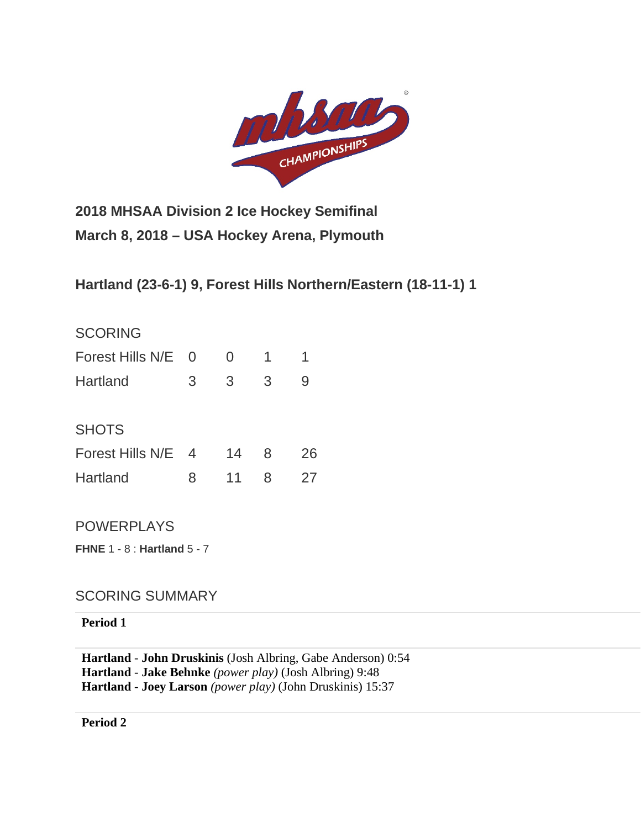

**2018 MHSAA Division 2 Ice Hockey Semifinal March 8, 2018 – USA Hockey Arena, Plymouth**

**Hartland (23-6-1) 9, Forest Hills Northern/Eastern (18-11-1) 1**

| <b>SCORING</b>   |                |    |   |    |
|------------------|----------------|----|---|----|
| Forest Hills N/E | $\Omega$       | 0  | 1 |    |
| Hartland         | 3              | 3  | 3 | 9  |
| <b>SHOTS</b>     |                |    |   |    |
| Forest Hills N/E | $\overline{4}$ | 14 | 8 | 26 |
| Hartland         | 8              | 11 | 8 | 27 |
|                  |                |    |   |    |

POWERPLAYS

**FHNE** 1 - 8 : **Hartland** 5 - 7

## SCORING SUMMARY

## **Period 1**

**Hartland** - **[John Druskinis](http://mihl_site.wttstats.pointstreak.com/playerpage.html?playerid=10638342&seasonid=17926)** [\(Josh Albring,](http://mihl_site.wttstats.pointstreak.com/playerpage.html?playerid=10638348&seasonid=17926) [Gabe Anderson\)](http://mihl_site.wttstats.pointstreak.com/playerpage.html?playerid=10638340&seasonid=17926) 0:54 **Hartland** - **[Jake Behnke](http://mihl_site.wttstats.pointstreak.com/playerpage.html?playerid=10638339&seasonid=17926)** *(power play)* [\(Josh Albring\)](http://mihl_site.wttstats.pointstreak.com/playerpage.html?playerid=10638348&seasonid=17926) 9:48 **Hartland** - **[Joey Larson](http://mihl_site.wttstats.pointstreak.com/playerpage.html?playerid=10638338&seasonid=17926)** *(power play)* [\(John Druskinis\)](http://mihl_site.wttstats.pointstreak.com/playerpage.html?playerid=10638342&seasonid=17926) 15:37

**Period 2**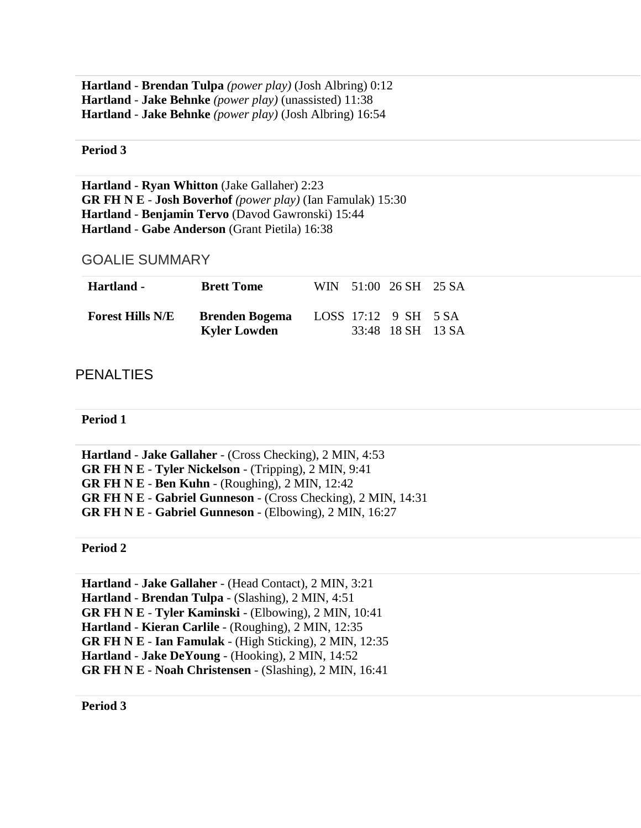**Hartland** - **[Brendan Tulpa](http://mihl_site.wttstats.pointstreak.com/playerpage.html?playerid=10638344&seasonid=17926)** *(power play)* [\(Josh Albring\)](http://mihl_site.wttstats.pointstreak.com/playerpage.html?playerid=10638348&seasonid=17926) 0:12 **Hartland** - **[Jake Behnke](http://mihl_site.wttstats.pointstreak.com/playerpage.html?playerid=10638339&seasonid=17926)** *(power play)* (unassisted) 11:38 **Hartland** - **[Jake Behnke](http://mihl_site.wttstats.pointstreak.com/playerpage.html?playerid=10638339&seasonid=17926)** *(power play)* [\(Josh Albring\)](http://mihl_site.wttstats.pointstreak.com/playerpage.html?playerid=10638348&seasonid=17926) 16:54

**Period 3**

**Hartland** - **[Ryan Whitton](http://mihl_site.wttstats.pointstreak.com/playerpage.html?playerid=10638343&seasonid=17926)** [\(Jake Gallaher\)](http://mihl_site.wttstats.pointstreak.com/playerpage.html?playerid=10638341&seasonid=17926) 2:23 **GR FH N E** - **[Josh Boverhof](http://mihl_site.wttstats.pointstreak.com/playerpage.html?playerid=10638234&seasonid=17926)** *(power play)* [\(Ian Famulak\)](http://mihl_site.wttstats.pointstreak.com/playerpage.html?playerid=10638241&seasonid=17926) 15:30 **Hartland** - **[Benjamin Tervo](http://mihl_site.wttstats.pointstreak.com/playerpage.html?playerid=10638345&seasonid=17926)** [\(Davod Gawronski\)](http://mihl_site.wttstats.pointstreak.com/playerpage.html?playerid=10638347&seasonid=17926) 15:44 **Hartland** - **[Gabe Anderson](http://mihl_site.wttstats.pointstreak.com/playerpage.html?playerid=10638340&seasonid=17926)** [\(Grant Pietila\)](http://mihl_site.wttstats.pointstreak.com/playerpage.html?playerid=10638346&seasonid=17926) 16:38

GOALIE SUMMARY

| Hartland -              | <b>Brett Tome</b>                            |  | WIN 51:00 26 SH 25 SA                     |  |
|-------------------------|----------------------------------------------|--|-------------------------------------------|--|
| <b>Forest Hills N/E</b> | <b>Brenden Bogema</b><br><b>Kyler Lowden</b> |  | LOSS 17:12 9 SH 5 SA<br>33:48 18 SH 13 SA |  |

## **PENALTIES**

**Period 1**

**Hartland** - **[Jake Gallaher](http://mihl_site.wttstats.pointstreak.com/playerpage.html?playerid=10638341&seasonid=17926)** - (Cross Checking), 2 MIN, 4:53 **GR FH N E** - **[Tyler Nickelson](http://mihl_site.wttstats.pointstreak.com/playerpage.html?playerid=10638237&seasonid=17926)** - (Tripping), 2 MIN, 9:41 **GR FH N E** - **[Ben Kuhn](http://mihl_site.wttstats.pointstreak.com/playerpage.html?playerid=10665898&seasonid=17926)** - (Roughing), 2 MIN, 12:42 **GR FH N E** - **[Gabriel Gunneson](http://mihl_site.wttstats.pointstreak.com/playerpage.html?playerid=10638235&seasonid=17926)** - (Cross Checking), 2 MIN, 14:31 **GR FH N E** - **[Gabriel Gunneson](http://mihl_site.wttstats.pointstreak.com/playerpage.html?playerid=10638235&seasonid=17926)** - (Elbowing), 2 MIN, 16:27

**Period 2**

**Hartland** - **[Jake Gallaher](http://mihl_site.wttstats.pointstreak.com/playerpage.html?playerid=10638341&seasonid=17926)** - (Head Contact), 2 MIN, 3:21 **Hartland** - **[Brendan Tulpa](http://mihl_site.wttstats.pointstreak.com/playerpage.html?playerid=10638344&seasonid=17926)** - (Slashing), 2 MIN, 4:51 **GR FH N E** - **[Tyler Kaminski](http://mihl_site.wttstats.pointstreak.com/playerpage.html?playerid=10638229&seasonid=17926)** - (Elbowing), 2 MIN, 10:41 **Hartland** - **[Kieran Carlile](http://mihl_site.wttstats.pointstreak.com/playerpage.html?playerid=10638332&seasonid=17926)** - (Roughing), 2 MIN, 12:35 **GR FH N E** - **[Ian Famulak](http://mihl_site.wttstats.pointstreak.com/playerpage.html?playerid=10638241&seasonid=17926)** - (High Sticking), 2 MIN, 12:35 **Hartland** - **[Jake DeYoung](http://mihl_site.wttstats.pointstreak.com/playerpage.html?playerid=10638351&seasonid=17926)** - (Hooking), 2 MIN, 14:52 **GR FH N E** - **[Noah Christensen](http://mihl_site.wttstats.pointstreak.com/playerpage.html?playerid=10638227&seasonid=17926)** - (Slashing), 2 MIN, 16:41

**Period 3**